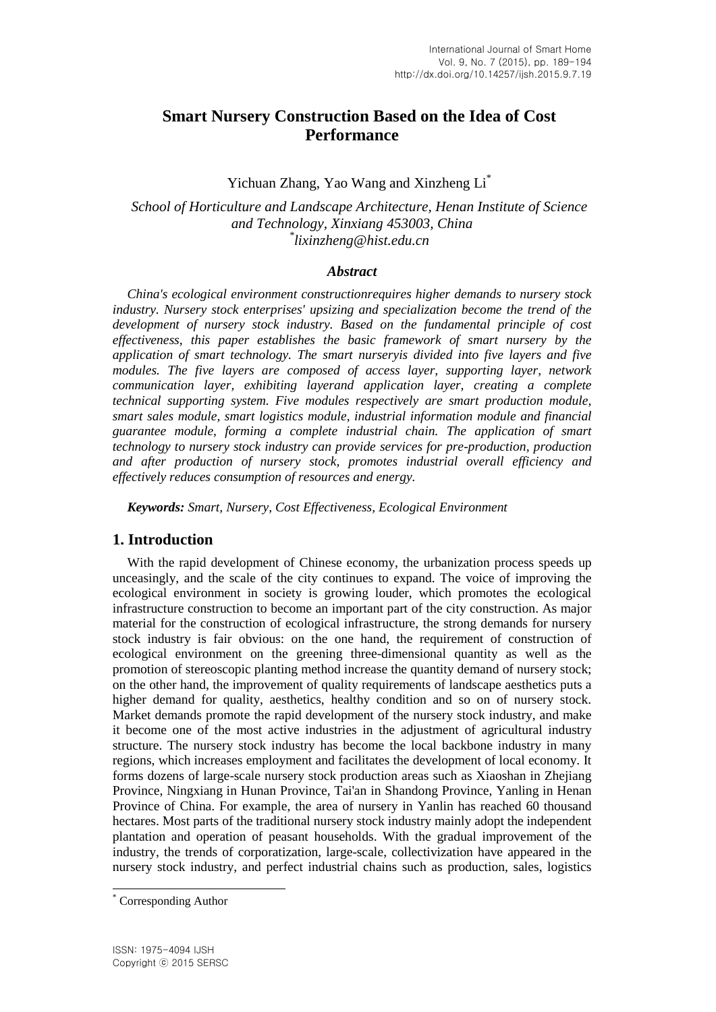# **Smart Nursery Construction Based on the Idea of Cost Performance**

Yichuan Zhang, Yao Wang and Xinzheng Li<sup>\*</sup>

*School of Horticulture and Landscape Architecture, Henan Institute of Science and Technology, Xinxiang 453003, China \* lixinzheng@hist.edu.cn*

## *Abstract*

*China's ecological environment constructionrequires higher demands to nursery stock industry. Nursery stock enterprises' upsizing and specialization become the trend of the development of nursery stock industry. Based on the fundamental principle of cost effectiveness, this paper establishes the basic framework of smart nursery by the application of smart technology. The smart nurseryis divided into five layers and five modules. The five layers are composed of access layer, supporting layer, network communication layer, exhibiting layerand application layer, creating a complete technical supporting system. Five modules respectively are smart production module, smart sales module, smart logistics module, industrial information module and financial guarantee module, forming a complete industrial chain. The application of smart technology to nursery stock industry can provide services for pre-production, production and after production of nursery stock, promotes industrial overall efficiency and effectively reduces consumption of resources and energy.*

*Keywords: Smart, Nursery, Cost Effectiveness, Ecological Environment*

# **1. Introduction**

With the rapid development of Chinese economy, the urbanization process speeds up unceasingly, and the scale of the city continues to expand. The voice of improving the ecological environment in society is growing louder, which promotes the ecological infrastructure construction to become an important part of the city construction. As major material for the construction of ecological infrastructure, the strong demands for nursery stock industry is fair obvious: on the one hand, the requirement of construction of ecological environment on the greening three-dimensional quantity as well as the promotion of stereoscopic planting method increase the quantity demand of nursery stock; on the other hand, the improvement of quality requirements of landscape aesthetics puts a higher demand for quality, aesthetics, healthy condition and so on of nursery stock. Market demands promote the rapid development of the nursery stock industry, and make it become one of the most active industries in the adjustment of agricultural industry structure. The nursery stock industry has become the local backbone industry in many regions, which increases employment and facilitates the development of local economy. It forms dozens of large-scale nursery stock production areas such as Xiaoshan in Zhejiang Province, Ningxiang in Hunan Province, Tai'an in Shandong Province, Yanling in Henan Province of China. For example, the area of nursery in Yanlin has reached 60 thousand hectares. Most parts of the traditional nursery stock industry mainly adopt the independent plantation and operation of peasant households. With the gradual improvement of the industry, the trends of corporatization, large-scale, collectivization have appeared in the nursery stock industry, and perfect industrial chains such as production, sales, logistics

l

Corresponding Author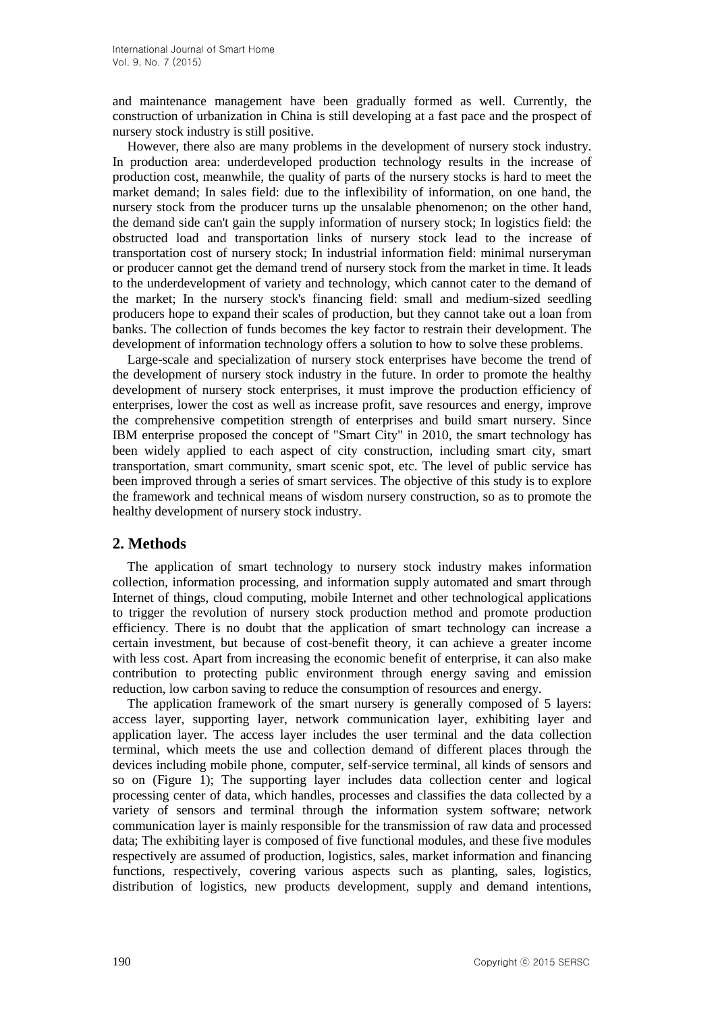and maintenance management have been gradually formed as well. Currently, the construction of urbanization in China is still developing at a fast pace and the prospect of nursery stock industry is still positive.

However, there also are many problems in the development of nursery stock industry. In production area: underdeveloped production technology results in the increase of production cost, meanwhile, the quality of parts of the nursery stocks is hard to meet the market demand; In sales field: due to the inflexibility of information, on one hand, the nursery stock from the producer turns up the unsalable phenomenon; on the other hand, the demand side can't gain the supply information of nursery stock; In logistics field: the obstructed load and transportation links of nursery stock lead to the increase of transportation cost of nursery stock; In industrial information field: minimal nurseryman or producer cannot get the demand trend of nursery stock from the market in time. It leads to the underdevelopment of variety and technology, which cannot cater to the demand of the market; In the nursery stock's financing field: small and medium-sized seedling producers hope to expand their scales of production, but they cannot take out a loan from banks. The collection of funds becomes the key factor to restrain their development. The development of information technology offers a solution to how to solve these problems.

Large-scale and specialization of nursery stock enterprises have become the trend of the development of nursery stock industry in the future. In order to promote the healthy development of nursery stock enterprises, it must improve the production efficiency of enterprises, lower the cost as well as increase profit, save resources and energy, improve the comprehensive competition strength of enterprises and build smart nursery. Since IBM enterprise proposed the concept of "Smart City" in 2010, the smart technology has been widely applied to each aspect of city construction, including smart city, smart transportation, smart community, smart scenic spot, etc. The level of public service has been improved through a series of smart services. The objective of this study is to explore the framework and technical means of wisdom nursery construction, so as to promote the healthy development of nursery stock industry.

# **2. Methods**

The application of smart technology to nursery stock industry makes information collection, information processing, and information supply automated and smart through Internet of things, cloud computing, mobile Internet and other technological applications to trigger the revolution of nursery stock production method and promote production efficiency. There is no doubt that the application of smart technology can increase a certain investment, but because of cost-benefit theory, it can achieve a greater income with less cost. Apart from increasing the economic benefit of enterprise, it can also make contribution to protecting public environment through energy saving and emission reduction, low carbon saving to reduce the consumption of resources and energy.

The application framework of the smart nursery is generally composed of 5 layers: access layer, supporting layer, network communication layer, exhibiting layer and application layer. The access layer includes the user terminal and the data collection terminal, which meets the use and collection demand of different places through the devices including mobile phone, computer, self-service terminal, all kinds of sensors and so on (Figure 1); The supporting layer includes data collection center and logical processing center of data, which handles, processes and classifies the data collected by a variety of sensors and terminal through the information system software; network communication layer is mainly responsible for the transmission of raw data and processed data; The exhibiting layer is composed of five functional modules, and these five modules respectively are assumed of production, logistics, sales, market information and financing functions, respectively, covering various aspects such as planting, sales, logistics, distribution of logistics, new products development, supply and demand intentions,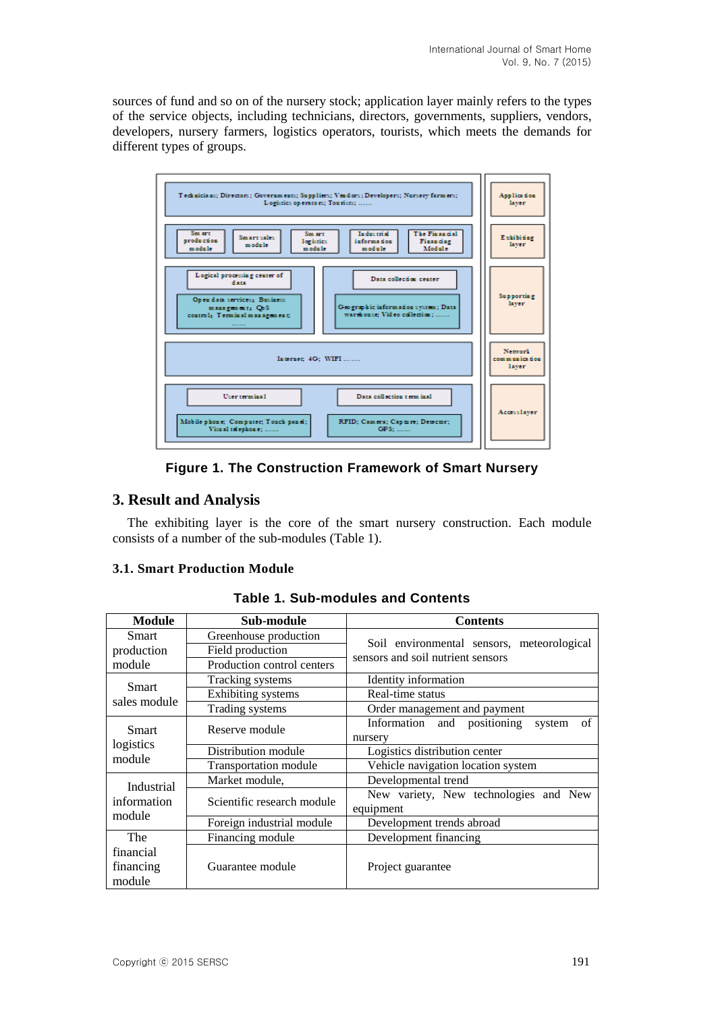sources of fund and so on of the nursery stock; application layer mainly refers to the types of the service objects, including technicians, directors, governments, suppliers, vendors, developers, nursery farmers, logistics operators, tourists, which meets the demands for different types of groups.



**Figure 1. The Construction Framework of Smart Nursery**

# **3. Result and Analysis**

The exhibiting layer is the core of the smart nursery construction. Each module consists of a number of the sub-modules (Table 1).

# **3.1. Smart Production Module**

| <b>Module</b>                       | Sub-module                   | <b>Contents</b>                                                                 |
|-------------------------------------|------------------------------|---------------------------------------------------------------------------------|
| <b>Smart</b>                        | Greenhouse production        | Soil environmental sensors, meteorological<br>sensors and soil nutrient sensors |
| production                          | Field production             |                                                                                 |
| module                              | Production control centers   |                                                                                 |
| Smart<br>sales module               | Tracking systems             | Identity information                                                            |
|                                     | <b>Exhibiting</b> systems    | Real-time status                                                                |
|                                     | Trading systems              | Order management and payment                                                    |
| Smart<br>logistics<br>module        | Reserve module               | Information and positioning<br>of<br>system<br>nursery                          |
|                                     | Distribution module          | Logistics distribution center                                                   |
|                                     | <b>Transportation module</b> | Vehicle navigation location system                                              |
| Industrial<br>information<br>module | Market module,               | Developmental trend                                                             |
|                                     | Scientific research module   | New variety, New technologies and New<br>equipment                              |
|                                     | Foreign industrial module    | Development trends abroad                                                       |
| The                                 | Financing module             | Development financing                                                           |
| financial<br>financing<br>module    | Guarantee module             | Project guarantee                                                               |

**Table 1. Sub-modules and Contents**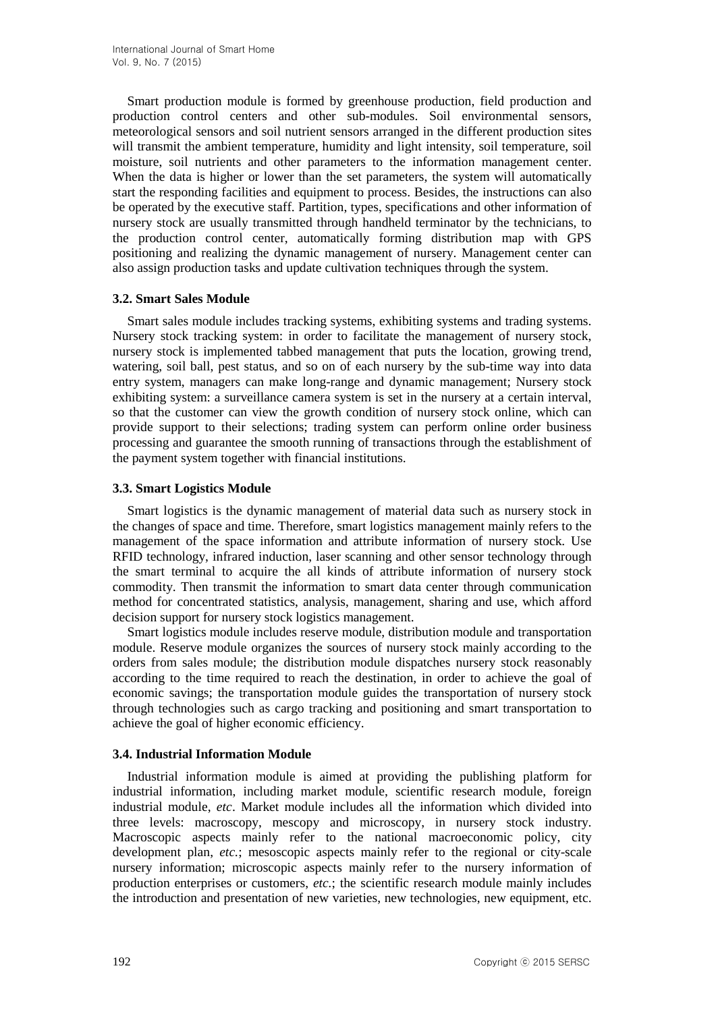Smart production module is formed by greenhouse production, field production and production control centers and other sub-modules. Soil environmental sensors, meteorological sensors and soil nutrient sensors arranged in the different production sites will transmit the ambient temperature, humidity and light intensity, soil temperature, soil moisture, soil nutrients and other parameters to the information management center. When the data is higher or lower than the set parameters, the system will automatically start the responding facilities and equipment to process. Besides, the instructions can also be operated by the executive staff. Partition, types, specifications and other information of nursery stock are usually transmitted through handheld terminator by the technicians, to the production control center, automatically forming distribution map with GPS positioning and realizing the dynamic management of nursery. Management center can also assign production tasks and update cultivation techniques through the system.

## **3.2. Smart Sales Module**

Smart sales module includes tracking systems, exhibiting systems and trading systems. Nursery stock tracking system: in order to facilitate the management of nursery stock, nursery stock is implemented tabbed management that puts the location, growing trend, watering, soil ball, pest status, and so on of each nursery by the sub-time way into data entry system, managers can make long-range and dynamic management; Nursery stock exhibiting system: a surveillance camera system is set in the nursery at a certain interval, so that the customer can view the growth condition of nursery stock online, which can provide support to their selections; trading system can perform online order business processing and guarantee the smooth running of transactions through the establishment of the payment system together with financial institutions.

## **3.3. Smart Logistics Module**

Smart logistics is the dynamic management of material data such as nursery stock in the changes of space and time. Therefore, smart logistics management mainly refers to the management of the space information and attribute information of nursery stock. Use RFID technology, infrared induction, laser scanning and other sensor technology through the smart terminal to acquire the all kinds of attribute information of nursery stock commodity. Then transmit the information to smart data center through communication method for concentrated statistics, analysis, management, sharing and use, which afford decision support for nursery stock logistics management.

Smart logistics module includes reserve module, distribution module and transportation module. Reserve module organizes the sources of nursery stock mainly according to the orders from sales module; the distribution module dispatches nursery stock reasonably according to the time required to reach the destination, in order to achieve the goal of economic savings; the transportation module guides the transportation of nursery stock through technologies such as cargo tracking and positioning and smart transportation to achieve the goal of higher economic efficiency.

## **3.4. Industrial Information Module**

Industrial information module is aimed at providing the publishing platform for industrial information, including market module, scientific research module, foreign industrial module, *etc*. Market module includes all the information which divided into three levels: macroscopy, mescopy and microscopy, in nursery stock industry. Macroscopic aspects mainly refer to the national macroeconomic policy, city development plan, *etc.*; mesoscopic aspects mainly refer to the regional or city-scale nursery information; microscopic aspects mainly refer to the nursery information of production enterprises or customers, *etc.*; the scientific research module mainly includes the introduction and presentation of new varieties, new technologies, new equipment, etc.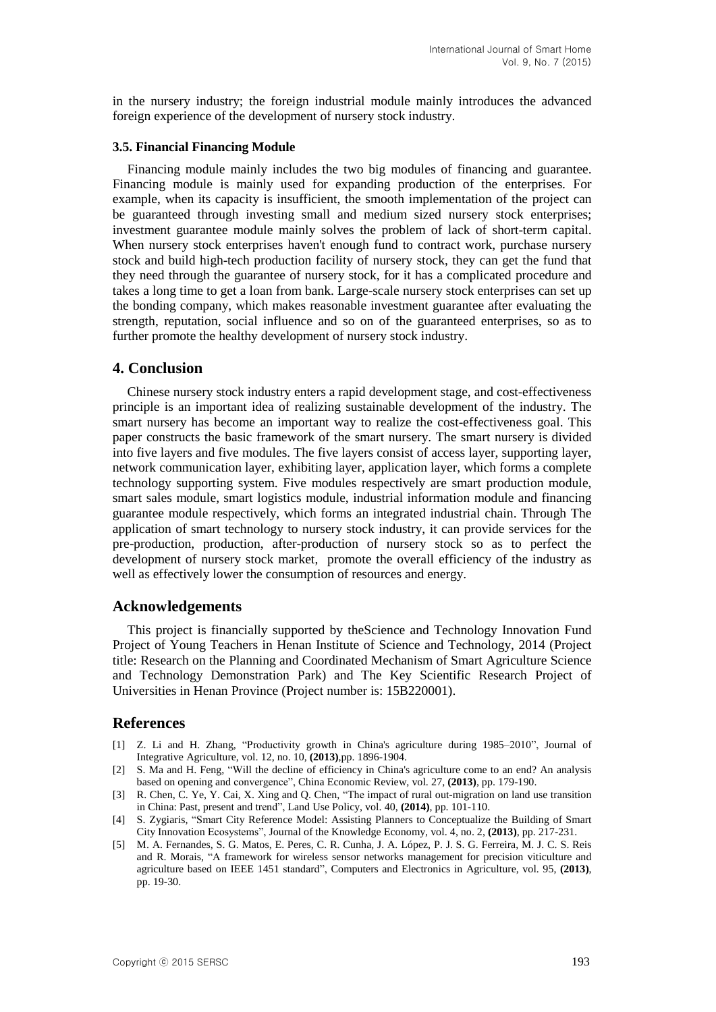in the nursery industry; the foreign industrial module mainly introduces the advanced foreign experience of the development of nursery stock industry.

#### **3.5. Financial Financing Module**

Financing module mainly includes the two big modules of financing and guarantee. Financing module is mainly used for expanding production of the enterprises. For example, when its capacity is insufficient, the smooth implementation of the project can be guaranteed through investing small and medium sized nursery stock enterprises; investment guarantee module mainly solves the problem of lack of short-term capital. When nursery stock enterprises haven't enough fund to contract work, purchase nursery stock and build high-tech production facility of nursery stock, they can get the fund that they need through the guarantee of nursery stock, for it has a complicated procedure and takes a long time to get a loan from bank. Large-scale nursery stock enterprises can set up the bonding company, which makes reasonable investment guarantee after evaluating the strength, reputation, social influence and so on of the guaranteed enterprises, so as to further promote the healthy development of nursery stock industry.

#### **4. Conclusion**

Chinese nursery stock industry enters a rapid development stage, and cost-effectiveness principle is an important idea of realizing sustainable development of the industry. The smart nursery has become an important way to realize the cost-effectiveness goal. This paper constructs the basic framework of the smart nursery. The smart nursery is divided into five layers and five modules. The five layers consist of access layer, supporting layer, network communication layer, exhibiting layer, application layer, which forms a complete technology supporting system. Five modules respectively are smart production module, smart sales module, smart logistics module, industrial information module and financing guarantee module respectively, which forms an integrated industrial chain. Through The application of smart technology to nursery stock industry, it can provide services for the pre-production, production, after-production of nursery stock so as to perfect the development of nursery stock market, promote the overall efficiency of the industry as well as effectively lower the consumption of resources and energy.

#### **Acknowledgements**

This project is financially supported by theScience and Technology Innovation Fund Project of Young Teachers in Henan Institute of Science and Technology, 2014 (Project title: Research on the Planning and Coordinated Mechanism of Smart Agriculture Science and Technology Demonstration Park) and The Key Scientific Research Project of Universities in Henan Province (Project number is: 15B220001).

#### **References**

- [1] Z. Li and H. Zhang, "Productivity growth in China's agriculture during 1985–2010", Journal of Integrative Agriculture, vol. 12, no. 10, **(2013)**,pp. 1896-1904.
- [2] S. Ma and H. Feng, "Will the decline of efficiency in China's agriculture come to an end? An analysis based on opening and convergence", China Economic Review, vol. 27, **(2013)**, pp. 179-190.
- [3] R. Chen, C. Ye, Y. Cai, X. Xing and Q. Chen, "The impact of rural out-migration on land use transition in China: Past, present and trend", Land Use Policy, vol. 40, **(2014)**, pp. 101-110.
- [4] S. Zygiaris, "Smart City Reference Model: Assisting Planners to Conceptualize the Building of Smart City Innovation Ecosystems", Journal of the Knowledge Economy, vol. 4, no. 2, **(2013)**, pp. 217-231.
- [5] M. A. Fernandes, S. G. Matos, E. Peres, C. R. Cunha, J. A. López, P. J. S. G. Ferreira, M. J. C. S. Reis and R. Morais, "A framework for wireless sensor networks management for precision viticulture and agriculture based on IEEE 1451 standard", Computers and Electronics in Agriculture, vol. 95, **(2013)**, pp. 19-30.